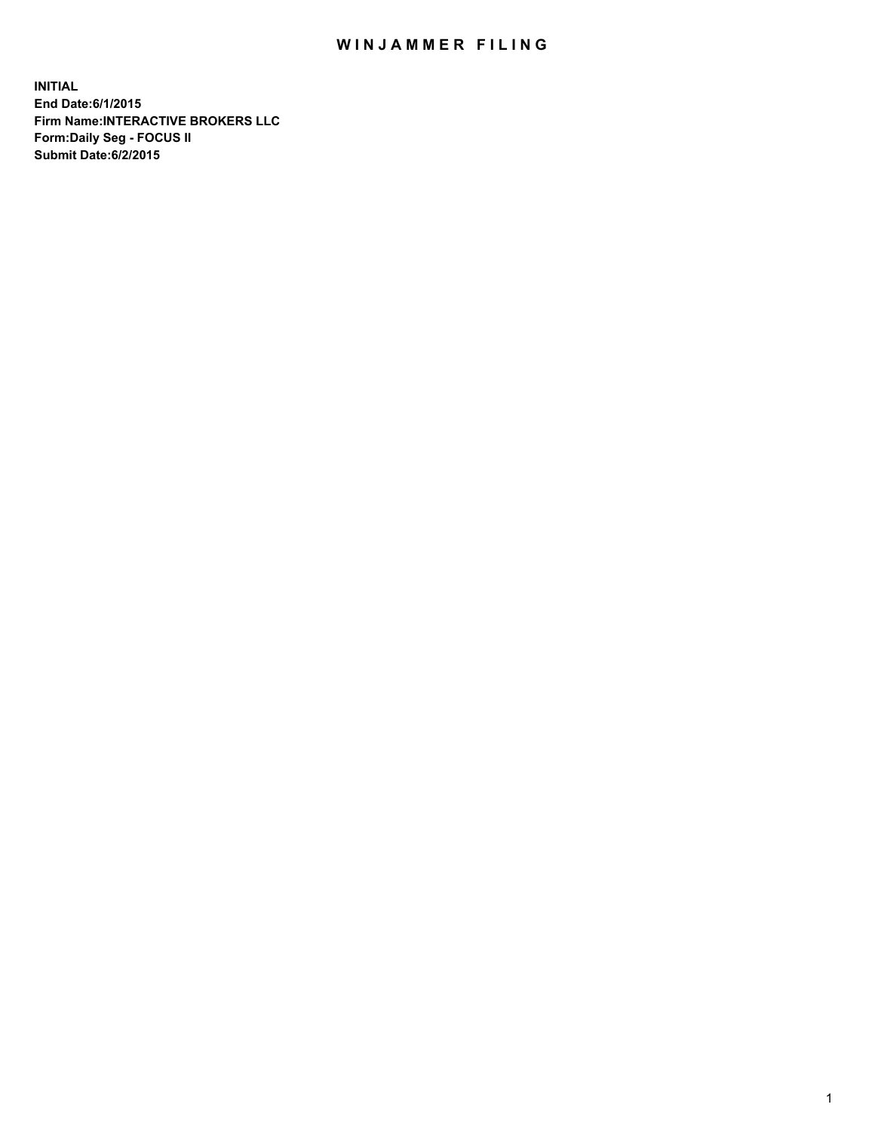## WIN JAMMER FILING

**INITIAL End Date:6/1/2015 Firm Name:INTERACTIVE BROKERS LLC Form:Daily Seg - FOCUS II Submit Date:6/2/2015**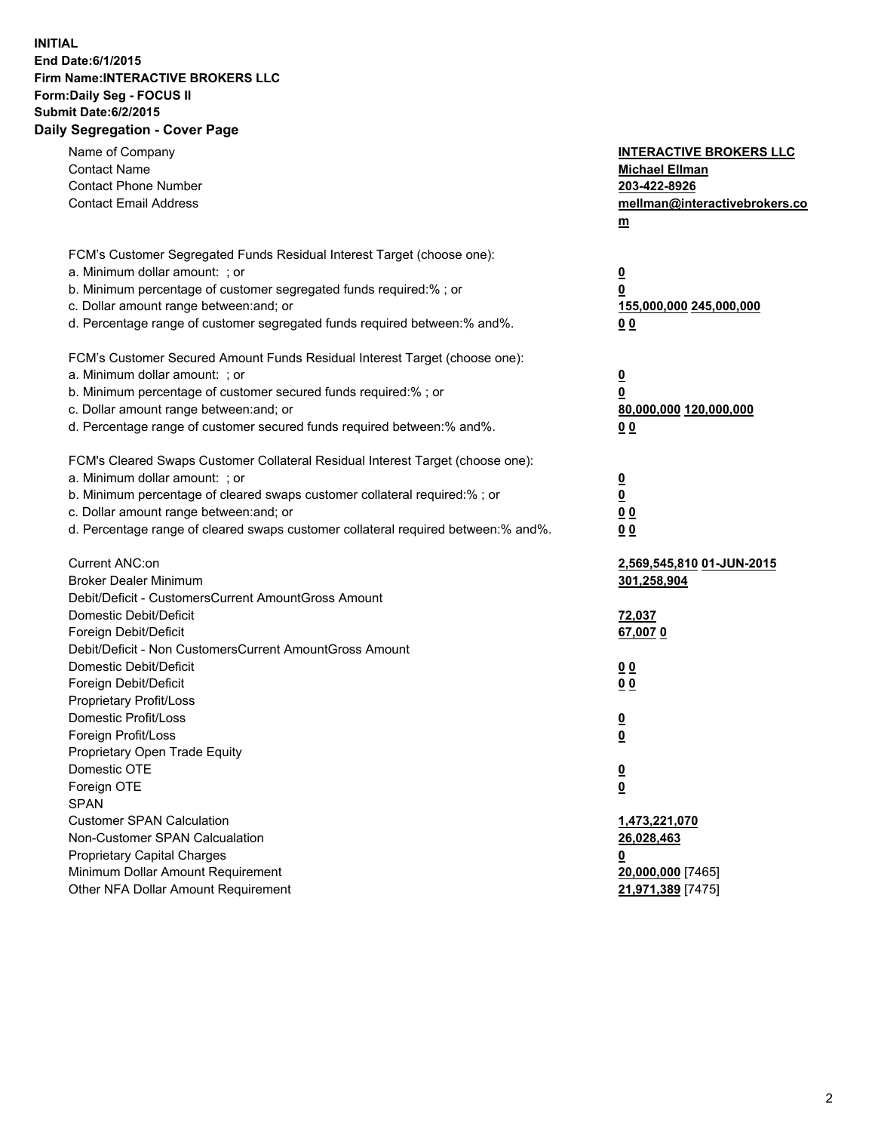## **INITIAL End Date:6/1/2015 Firm Name:INTERACTIVE BROKERS LLC Form:Daily Seg - FOCUS II Submit Date:6/2/2015 Daily Segregation - Cover Page**

| Name of Company<br><b>Contact Name</b>                                            | <b>INTERACTIVE BROKERS LLC</b><br><b>Michael Ellman</b> |
|-----------------------------------------------------------------------------------|---------------------------------------------------------|
| <b>Contact Phone Number</b>                                                       | 203-422-8926                                            |
| <b>Contact Email Address</b>                                                      | mellman@interactivebrokers.co                           |
|                                                                                   | $\underline{\mathbf{m}}$                                |
|                                                                                   |                                                         |
| FCM's Customer Segregated Funds Residual Interest Target (choose one):            |                                                         |
| a. Minimum dollar amount: ; or                                                    | $\overline{\mathbf{0}}$                                 |
| b. Minimum percentage of customer segregated funds required:% ; or                | 0                                                       |
| c. Dollar amount range between: and; or                                           | 155,000,000 245,000,000                                 |
| d. Percentage range of customer segregated funds required between:% and%.         | 00                                                      |
| FCM's Customer Secured Amount Funds Residual Interest Target (choose one):        |                                                         |
| a. Minimum dollar amount: ; or                                                    | $\overline{\mathbf{0}}$                                 |
| b. Minimum percentage of customer secured funds required:% ; or                   | 0                                                       |
| c. Dollar amount range between: and; or                                           | 80,000,000 120,000,000                                  |
| d. Percentage range of customer secured funds required between:% and%.            | 00                                                      |
|                                                                                   |                                                         |
| FCM's Cleared Swaps Customer Collateral Residual Interest Target (choose one):    |                                                         |
| a. Minimum dollar amount: ; or                                                    | $\overline{\mathbf{0}}$                                 |
| b. Minimum percentage of cleared swaps customer collateral required:% ; or        | $\overline{\mathbf{0}}$                                 |
| c. Dollar amount range between: and; or                                           | 0 <sub>0</sub>                                          |
| d. Percentage range of cleared swaps customer collateral required between:% and%. | 0 <sub>0</sub>                                          |
|                                                                                   |                                                         |
| Current ANC:on                                                                    | 2,569,545,810 01-JUN-2015                               |
| <b>Broker Dealer Minimum</b>                                                      | 301,258,904                                             |
| Debit/Deficit - CustomersCurrent AmountGross Amount                               |                                                         |
| Domestic Debit/Deficit                                                            | 72,037                                                  |
| Foreign Debit/Deficit<br>Debit/Deficit - Non CustomersCurrent AmountGross Amount  | 67,0070                                                 |
|                                                                                   |                                                         |
| Domestic Debit/Deficit<br>Foreign Debit/Deficit                                   | 0 <sub>0</sub>                                          |
| Proprietary Profit/Loss                                                           | 0 <sub>0</sub>                                          |
| Domestic Profit/Loss                                                              |                                                         |
| Foreign Profit/Loss                                                               | $\overline{\mathbf{0}}$<br>$\underline{\mathbf{0}}$     |
| Proprietary Open Trade Equity                                                     |                                                         |
| Domestic OTE                                                                      | <u>0</u>                                                |
| Foreign OTE                                                                       | <u>0</u>                                                |
| <b>SPAN</b>                                                                       |                                                         |
| <b>Customer SPAN Calculation</b>                                                  | 1,473,221,070                                           |
| Non-Customer SPAN Calcualation                                                    | 26,028,463                                              |
| Proprietary Capital Charges                                                       | <u>0</u>                                                |
| Minimum Dollar Amount Requirement                                                 | 20,000,000 [7465]                                       |
| Other NFA Dollar Amount Requirement                                               | 21,971,389 [7475]                                       |
|                                                                                   |                                                         |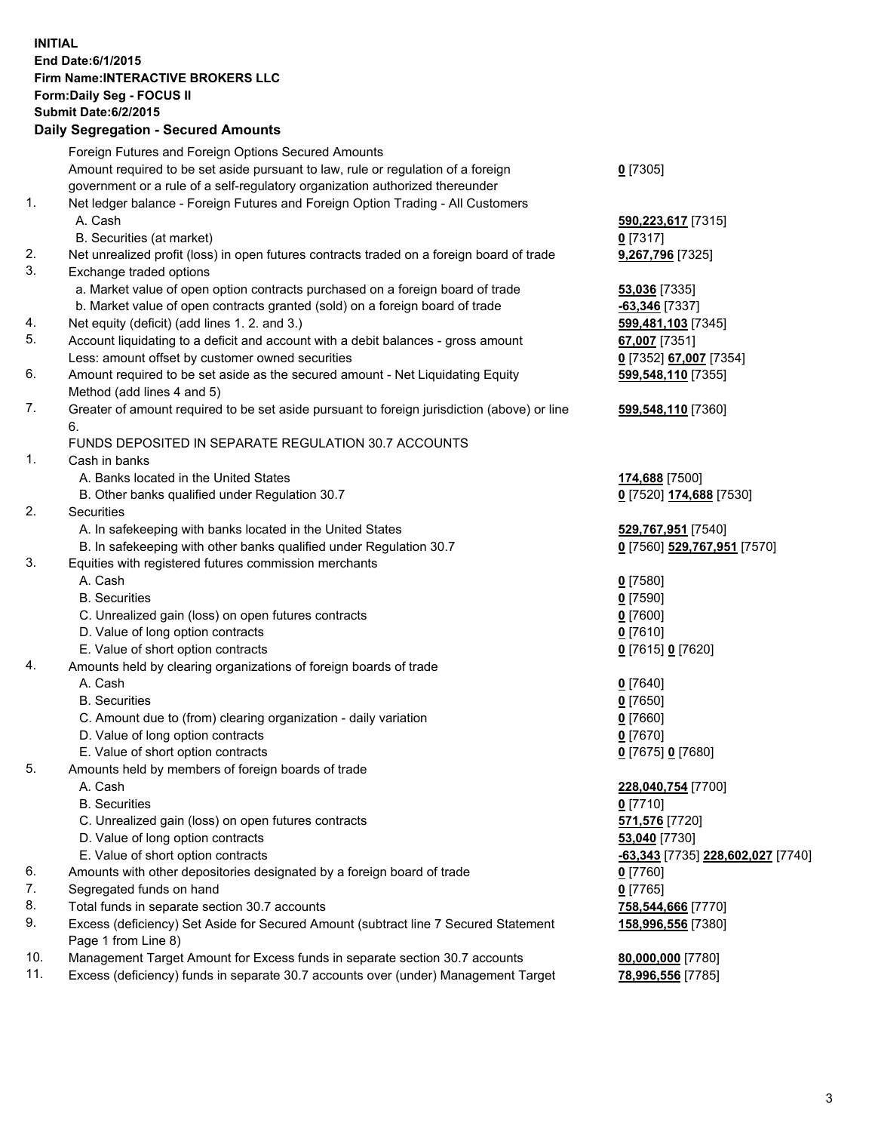## **INITIAL End Date:6/1/2015 Firm Name:INTERACTIVE BROKERS LLC Form:Daily Seg - FOCUS II Submit Date:6/2/2015 Daily Segregation - Secured Amounts**

|     | Foreign Futures and Foreign Options Secured Amounts                                         |                                   |
|-----|---------------------------------------------------------------------------------------------|-----------------------------------|
|     | Amount required to be set aside pursuant to law, rule or regulation of a foreign            | $0$ [7305]                        |
|     | government or a rule of a self-regulatory organization authorized thereunder                |                                   |
| 1.  | Net ledger balance - Foreign Futures and Foreign Option Trading - All Customers             |                                   |
|     | A. Cash                                                                                     | 590,223,617 [7315]                |
|     | B. Securities (at market)                                                                   | $0$ [7317]                        |
| 2.  | Net unrealized profit (loss) in open futures contracts traded on a foreign board of trade   | 9,267,796 [7325]                  |
| 3.  | Exchange traded options                                                                     |                                   |
|     | a. Market value of open option contracts purchased on a foreign board of trade              | 53,036 [7335]                     |
|     | b. Market value of open contracts granted (sold) on a foreign board of trade                | -63,346 [7337]                    |
| 4.  | Net equity (deficit) (add lines 1.2. and 3.)                                                | 599,481,103 [7345]                |
| 5.  | Account liquidating to a deficit and account with a debit balances - gross amount           | 67,007 [7351]                     |
|     | Less: amount offset by customer owned securities                                            | 0 [7352] 67,007 [7354]            |
| 6.  | Amount required to be set aside as the secured amount - Net Liquidating Equity              | 599,548,110 [7355]                |
|     | Method (add lines 4 and 5)                                                                  |                                   |
| 7.  |                                                                                             |                                   |
|     | Greater of amount required to be set aside pursuant to foreign jurisdiction (above) or line | 599,548,110 [7360]                |
|     | 6.                                                                                          |                                   |
|     | FUNDS DEPOSITED IN SEPARATE REGULATION 30.7 ACCOUNTS                                        |                                   |
| 1.  | Cash in banks                                                                               |                                   |
|     | A. Banks located in the United States                                                       | 174,688 [7500]                    |
|     | B. Other banks qualified under Regulation 30.7                                              | 0 [7520] 174,688 [7530]           |
| 2.  | Securities                                                                                  |                                   |
|     | A. In safekeeping with banks located in the United States                                   | 529,767,951 [7540]                |
|     | B. In safekeeping with other banks qualified under Regulation 30.7                          | 0 [7560] 529,767,951 [7570]       |
| 3.  | Equities with registered futures commission merchants                                       |                                   |
|     | A. Cash                                                                                     | $0$ [7580]                        |
|     | <b>B.</b> Securities                                                                        | $0$ [7590]                        |
|     | C. Unrealized gain (loss) on open futures contracts                                         | $0$ [7600]                        |
|     | D. Value of long option contracts                                                           | $0$ [7610]                        |
|     | E. Value of short option contracts                                                          | 0 [7615] 0 [7620]                 |
| 4.  | Amounts held by clearing organizations of foreign boards of trade                           |                                   |
|     | A. Cash                                                                                     | $0$ [7640]                        |
|     | <b>B.</b> Securities                                                                        | $0$ [7650]                        |
|     | C. Amount due to (from) clearing organization - daily variation                             | $0$ [7660]                        |
|     | D. Value of long option contracts                                                           | $0$ [7670]                        |
|     | E. Value of short option contracts                                                          | 0 [7675] 0 [7680]                 |
| 5.  | Amounts held by members of foreign boards of trade                                          |                                   |
|     | A. Cash                                                                                     | 228,040,754 [7700]                |
|     | <b>B.</b> Securities                                                                        | $0$ [7710]                        |
|     | C. Unrealized gain (loss) on open futures contracts                                         | 571,576 [7720]                    |
|     | D. Value of long option contracts                                                           | 53,040 [7730]                     |
|     | E. Value of short option contracts                                                          | -63,343 [7735] 228,602,027 [7740] |
| 6.  | Amounts with other depositories designated by a foreign board of trade                      | $0$ [7760]                        |
| 7.  | Segregated funds on hand                                                                    | $0$ [7765]                        |
| 8.  | Total funds in separate section 30.7 accounts                                               | 758,544,666 [7770]                |
| 9.  | Excess (deficiency) Set Aside for Secured Amount (subtract line 7 Secured Statement         | 158,996,556 [7380]                |
|     | Page 1 from Line 8)                                                                         |                                   |
| 10. | Management Target Amount for Excess funds in separate section 30.7 accounts                 | 80,000,000 [7780]                 |
| 11. | Excess (deficiency) funds in separate 30.7 accounts over (under) Management Target          | 78,996,556 [7785]                 |
|     |                                                                                             |                                   |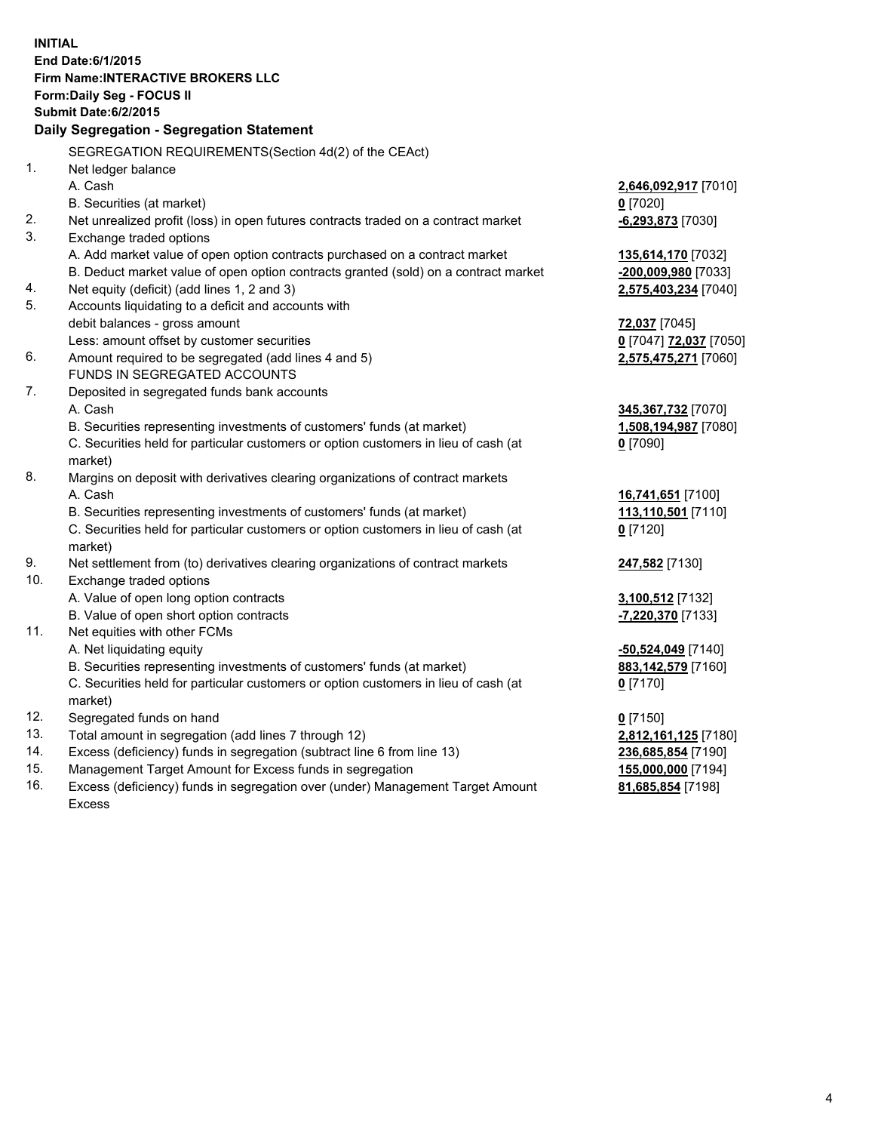**INITIAL End Date:6/1/2015 Firm Name:INTERACTIVE BROKERS LLC Form:Daily Seg - FOCUS II Submit Date:6/2/2015 Daily Segregation - Segregation Statement** SEGREGATION REQUIREMENTS(Section 4d(2) of the CEAct) 1. Net ledger balance A. Cash **2,646,092,917** [7010] B. Securities (at market) **0** [7020] 2. Net unrealized profit (loss) in open futures contracts traded on a contract market **-6,293,873** [7030] 3. Exchange traded options A. Add market value of open option contracts purchased on a contract market **135,614,170** [7032] B. Deduct market value of open option contracts granted (sold) on a contract market **-200,009,980** [7033] 4. Net equity (deficit) (add lines 1, 2 and 3) **2,575,403,234** [7040] 5. Accounts liquidating to a deficit and accounts with debit balances - gross amount **72,037** [7045] Less: amount offset by customer securities **0** [7047] **72,037** [7050] 6. Amount required to be segregated (add lines 4 and 5) **2,575,475,271** [7060] FUNDS IN SEGREGATED ACCOUNTS 7. Deposited in segregated funds bank accounts A. Cash **345,367,732** [7070] B. Securities representing investments of customers' funds (at market) **1,508,194,987** [7080] C. Securities held for particular customers or option customers in lieu of cash (at market) **0** [7090] 8. Margins on deposit with derivatives clearing organizations of contract markets A. Cash **16,741,651** [7100] B. Securities representing investments of customers' funds (at market) **113,110,501** [7110] C. Securities held for particular customers or option customers in lieu of cash (at market) **0** [7120] 9. Net settlement from (to) derivatives clearing organizations of contract markets **247,582** [7130] 10. Exchange traded options A. Value of open long option contracts **3,100,512** [7132] B. Value of open short option contracts **-7,220,370** [7133] 11. Net equities with other FCMs A. Net liquidating equity **-50,524,049** [7140] B. Securities representing investments of customers' funds (at market) **883,142,579** [7160] C. Securities held for particular customers or option customers in lieu of cash (at market) **0** [7170] 12. Segregated funds on hand **0** [7150] 13. Total amount in segregation (add lines 7 through 12) **2,812,161,125** [7180] 14. Excess (deficiency) funds in segregation (subtract line 6 from line 13) **236,685,854** [7190] 15. Management Target Amount for Excess funds in segregation **155,000,000** [7194]

16. Excess (deficiency) funds in segregation over (under) Management Target Amount Excess

**81,685,854** [7198]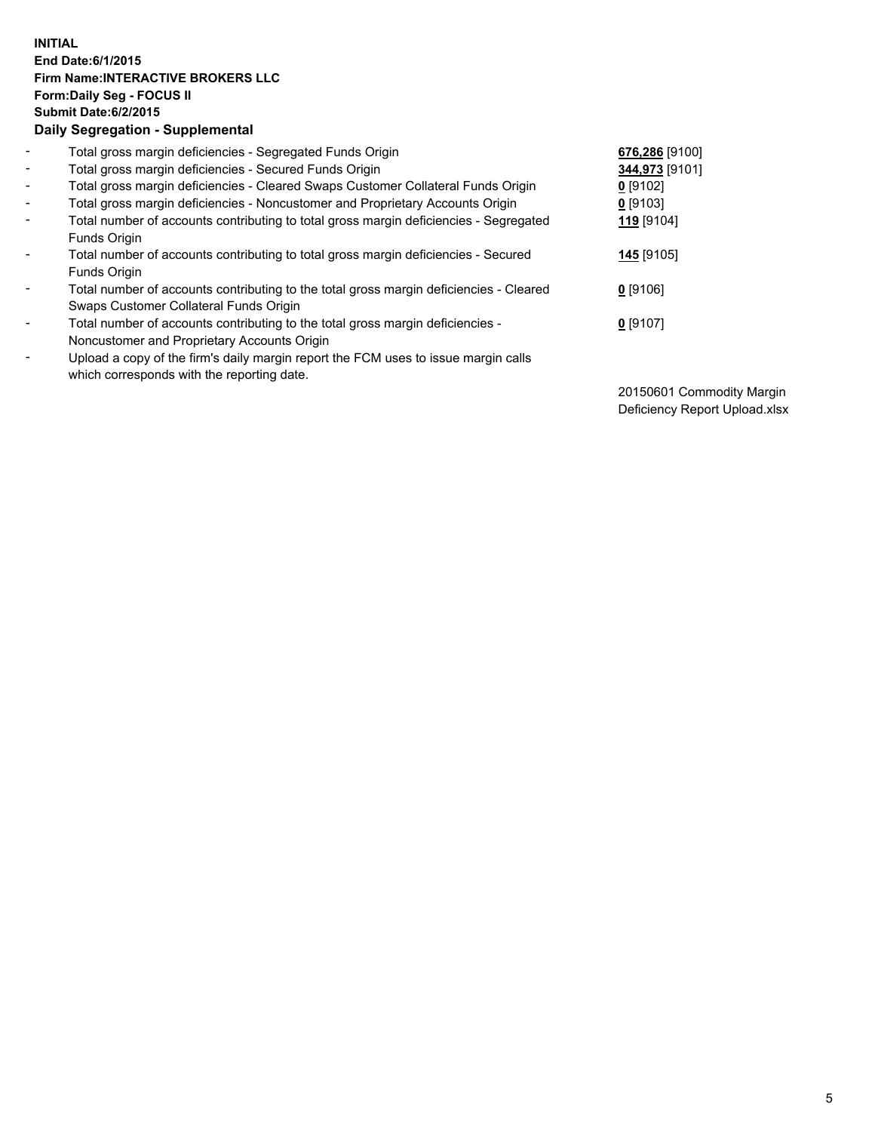## **INITIAL End Date:6/1/2015 Firm Name:INTERACTIVE BROKERS LLC Form:Daily Seg - FOCUS II Submit Date:6/2/2015 Daily Segregation - Supplemental**

| $\blacksquare$           | Total gross margin deficiencies - Segregated Funds Origin                              | 676,286 [9100] |
|--------------------------|----------------------------------------------------------------------------------------|----------------|
| $\blacksquare$           | Total gross margin deficiencies - Secured Funds Origin                                 | 344,973 [9101] |
| $\blacksquare$           | Total gross margin deficiencies - Cleared Swaps Customer Collateral Funds Origin       | $0$ [9102]     |
| $\blacksquare$           | Total gross margin deficiencies - Noncustomer and Proprietary Accounts Origin          | $0$ [9103]     |
| $\blacksquare$           | Total number of accounts contributing to total gross margin deficiencies - Segregated  | 119 [9104]     |
|                          | Funds Origin                                                                           |                |
| $\blacksquare$           | Total number of accounts contributing to total gross margin deficiencies - Secured     | 145 [9105]     |
|                          | Funds Origin                                                                           |                |
| $\overline{\phantom{a}}$ | Total number of accounts contributing to the total gross margin deficiencies - Cleared | $0$ [9106]     |
|                          | Swaps Customer Collateral Funds Origin                                                 |                |
| -                        | Total number of accounts contributing to the total gross margin deficiencies -         | $0$ [9107]     |
|                          | Noncustomer and Proprietary Accounts Origin                                            |                |
| $\blacksquare$           | Upload a copy of the firm's daily margin report the FCM uses to issue margin calls     |                |
|                          | which corresponds with the reporting date.                                             |                |

20150601 Commodity Margin Deficiency Report Upload.xlsx